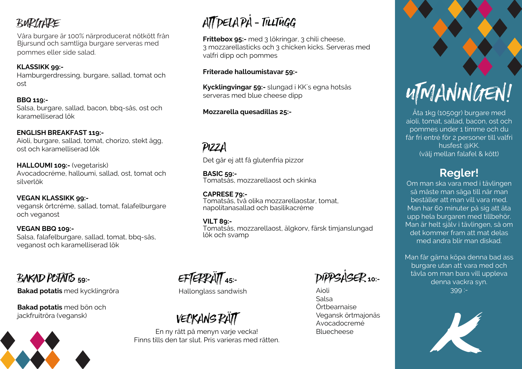## **BURGHRE**

Våra burgare är 100% närproducerat nötkött från Bjursund och samtliga burgare serveras med pommes eller side salad.

#### **KLASSIKK 99:-**

Hamburgerdressing, burgare, sallad, tomat och ost

#### **BBQ 119:-**

Salsa, burgare, sallad, bacon, bbq-sås, ost och karamelliserad lök

#### **ENGLISH BREAKFAST 119:-**

Aioli, burgare, sallad, tomat, chorizo, stekt ägg, ost och karamelliserad lök

**HALLOUMI 109:-** (vegetarisk) Avocadocréme, halloumi, sallad, ost, tomat och silverlök

#### **VEGAN KLASSIKK 99:-**

vegansk örtcréme, sallad, tomat, falafelburgare och veganost

#### **VEGAN BBQ 109:-**

Salsa, falafelburgare, sallad, tomat, bbq-sås, veganost och karamelliserad lök

### Bakad potatis **59:-**

#### **Bakad potatis** med kycklingröra

**Bakad potatis** med bön och jackfruitröra (vegansk)



# ATT DELA PÅ - tilltugg

**Frittebox 95:-** med 3 lökringar, 3 chili cheese, 3 mozzarellasticks och 3 chicken kicks. Serveras med valfri dipp och pommes

#### **Friterade halloumistavar 59:-**

**Kycklingvingar 59:-** slungad i KK´s egna hotsås serveras med blue cheese dipp

#### **Mozzarella quesadillas 25:-**

# PIZZA

Det går ej att få glutenfria pizzor

**BASIC 59:-** Tomatsås, mozzarellaost och skinka

**CAPRESE 79:-**  Tomatsås, två olika mozzarellaostar, tomat, napolitanasallad och basilikacréme

#### **VILT 89:-**

Tomatsås, mozzarellaost, älgkorv, färsk timjanslungad lök och svamp

# EFTERRÄTT **45:-**

#### Hallonglass sandwish

# VECKANS RÄTT

En ny rätt på menyn varje vecka! Finns tills den tar slut. Pris varieras med rätten.

DIPPSÅSER **10:-**

Aioli Salsa Örtbearnaise Vegansk örtmajonäs Avocadocremé Bluecheese



Äta 1kg (1050gr) burgare med aioli, tomat, sallad, bacon, ost och pommes under 1 timme och du får fri entré för 2 personer till valfri husfest @KK. (välj mellan falafel & kött)

### **Regler!**

Om man ska vara med i tävlingen så måste man säga till när man beställer att man vill vara med. Man har 60 minuter på sig att äta upp hela burgaren med tillbehör. Man är helt själv i tävlingen, så om det kommer fram att mat delas med andra blir man diskad.

Man får gärna köpa denna bad ass burgare utan att vara med och tävla om man bara vill uppleva denna vackra syn. 399 :-